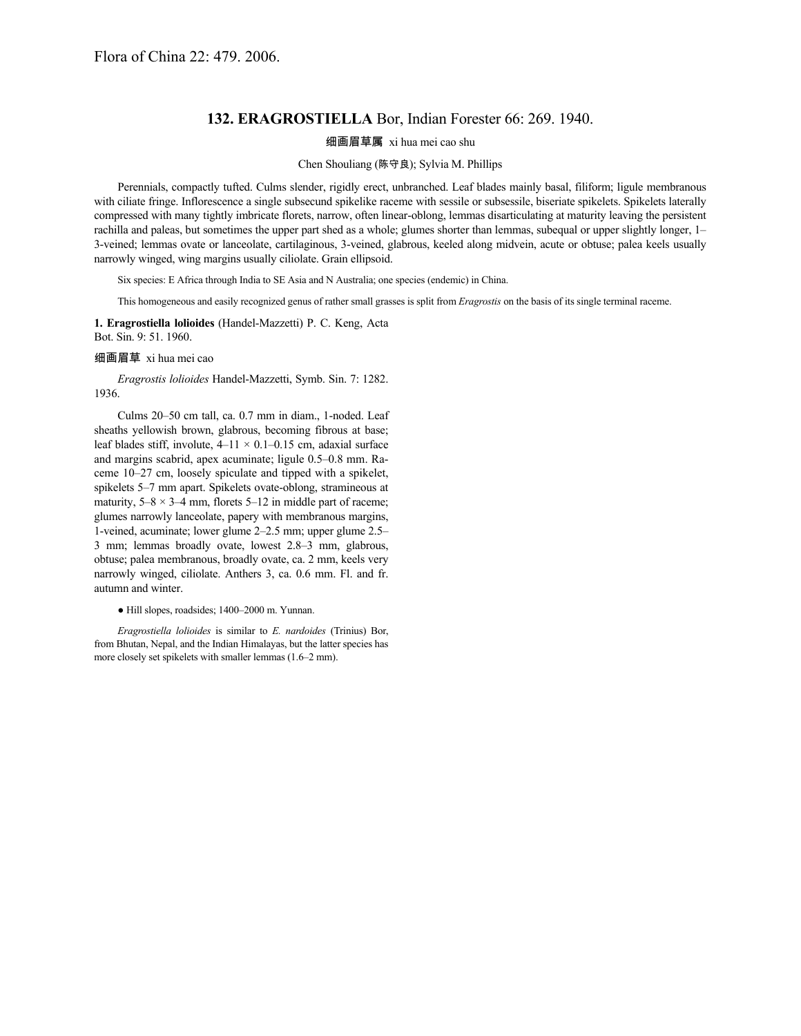## **132. ERAGROSTIELLA** Bor, Indian Forester 66: 269. 1940.

## 细画眉草属 xi hua mei cao shu

## Chen Shouliang (陈守良); Sylvia M. Phillips

Perennials, compactly tufted. Culms slender, rigidly erect, unbranched. Leaf blades mainly basal, filiform; ligule membranous with ciliate fringe. Inflorescence a single subsecund spikelike raceme with sessile or subsessile, biseriate spikelets. Spikelets laterally compressed with many tightly imbricate florets, narrow, often linear-oblong, lemmas disarticulating at maturity leaving the persistent rachilla and paleas, but sometimes the upper part shed as a whole; glumes shorter than lemmas, subequal or upper slightly longer, 1– 3-veined; lemmas ovate or lanceolate, cartilaginous, 3-veined, glabrous, keeled along midvein, acute or obtuse; palea keels usually narrowly winged, wing margins usually ciliolate. Grain ellipsoid.

Six species: E Africa through India to SE Asia and N Australia; one species (endemic) in China.

This homogeneous and easily recognized genus of rather small grasses is split from *Eragrostis* on the basis of its single terminal raceme.

**1. Eragrostiella lolioides** (Handel-Mazzetti) P. C. Keng, Acta Bot. Sin. 9: 51. 1960.

## 细画眉草 xi hua mei cao

*Eragrostis lolioides* Handel-Mazzetti, Symb. Sin. 7: 1282. 1936.

Culms 20–50 cm tall, ca. 0.7 mm in diam., 1-noded. Leaf sheaths yellowish brown, glabrous, becoming fibrous at base; leaf blades stiff, involute,  $4-11 \times 0.1-0.15$  cm, adaxial surface and margins scabrid, apex acuminate; ligule 0.5–0.8 mm. Raceme 10–27 cm, loosely spiculate and tipped with a spikelet, spikelets 5–7 mm apart. Spikelets ovate-oblong, stramineous at maturity,  $5-8 \times 3-4$  mm, florets  $5-12$  in middle part of raceme; glumes narrowly lanceolate, papery with membranous margins, 1-veined, acuminate; lower glume 2–2.5 mm; upper glume 2.5– 3 mm; lemmas broadly ovate, lowest 2.8–3 mm, glabrous, obtuse; palea membranous, broadly ovate, ca. 2 mm, keels very narrowly winged, ciliolate. Anthers 3, ca. 0.6 mm. Fl. and fr. autumn and winter.

● Hill slopes, roadsides; 1400–2000 m. Yunnan.

*Eragrostiella lolioides* is similar to *E. nardoides* (Trinius) Bor, from Bhutan, Nepal, and the Indian Himalayas, but the latter species has more closely set spikelets with smaller lemmas (1.6–2 mm).